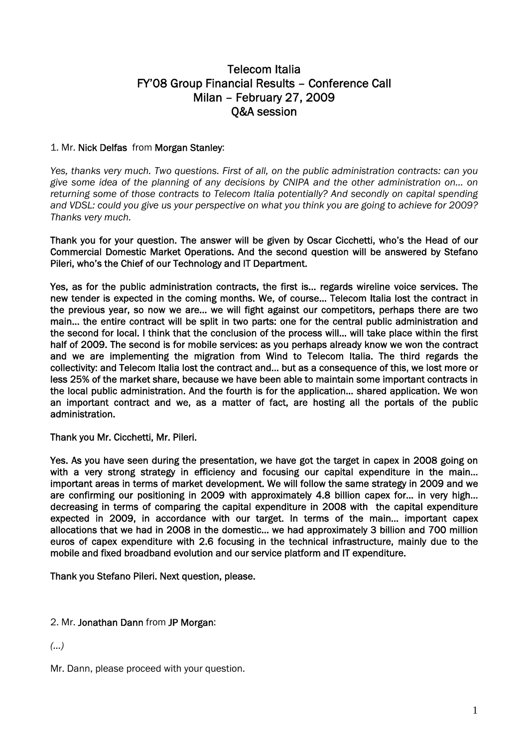# Telecom Italia FY'08 Group Financial Results – Conference Call Milan – February 27, 2009 Q&A session

# 1. Mr. Nick Delfas from Morgan Stanley:

*Yes, thanks very much. Two questions. First of all, on the public administration contracts: can you give some idea of the planning of any decisions by CNIPA and the other administration on… on returning some of those contracts to Telecom Italia potentially? And secondly on capital spending and VDSL: could you give us your perspective on what you think you are going to achieve for 2009? Thanks very much.* 

Thank you for your question. The answer will be given by Oscar Cicchetti, who's the Head of our Commercial Domestic Market Operations. And the second question will be answered by Stefano Pileri, who's the Chief of our Technology and IT Department.

Yes, as for the public administration contracts, the first is… regards wireline voice services. The new tender is expected in the coming months. We, of course… Telecom Italia lost the contract in the previous year, so now we are… we will fight against our competitors, perhaps there are two main… the entire contract will be split in two parts: one for the central public administration and the second for local. I think that the conclusion of the process will… will take place within the first half of 2009. The second is for mobile services: as you perhaps already know we won the contract and we are implementing the migration from Wind to Telecom Italia. The third regards the collectivity: and Telecom Italia lost the contract and… but as a consequence of this, we lost more or less 25% of the market share, because we have been able to maintain some important contracts in the local public administration. And the fourth is for the application… shared application. We won an important contract and we, as a matter of fact, are hosting all the portals of the public administration.

Thank you Mr. Cicchetti, Mr. Pileri.

Yes. As you have seen during the presentation, we have got the target in capex in 2008 going on with a very strong strategy in efficiency and focusing our capital expenditure in the main... important areas in terms of market development. We will follow the same strategy in 2009 and we are confirming our positioning in 2009 with approximately 4.8 billion capex for… in very high… decreasing in terms of comparing the capital expenditure in 2008 with the capital expenditure expected in 2009, in accordance with our target. In terms of the main… important capex allocations that we had in 2008 in the domestic… we had approximately 3 billion and 700 million euros of capex expenditure with 2.6 focusing in the technical infrastructure, mainly due to the mobile and fixed broadband evolution and our service platform and IT expenditure.

Thank you Stefano Pileri. Next question, please.

# 2. Mr. Jonathan Dann from JP Morgan:

*(…)* 

Mr. Dann, please proceed with your question.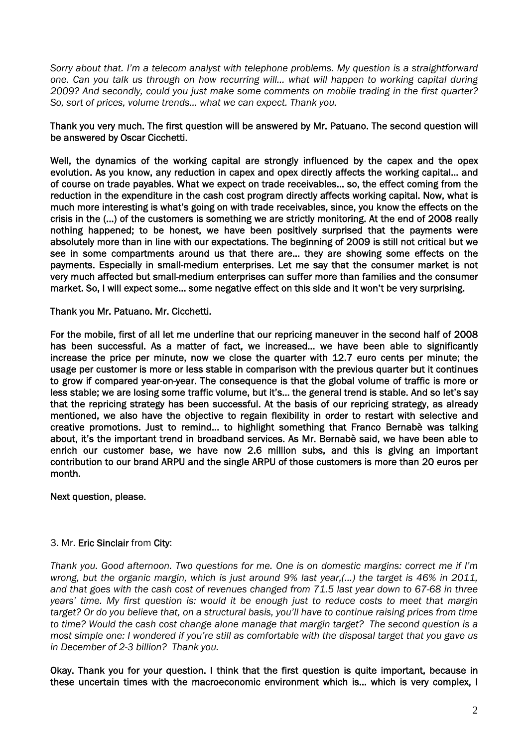*Sorry about that. I'm a telecom analyst with telephone problems. My question is a straightforward one. Can you talk us through on how recurring will… what will happen to working capital during 2009? And secondly, could you just make some comments on mobile trading in the first quarter? So, sort of prices, volume trends… what we can expect. Thank you.* 

# Thank you very much. The first question will be answered by Mr. Patuano. The second question will be answered by Oscar Cicchetti.

Well, the dynamics of the working capital are strongly influenced by the capex and the opex evolution. As you know, any reduction in capex and opex directly affects the working capital… and of course on trade payables. What we expect on trade receivables… so, the effect coming from the reduction in the expenditure in the cash cost program directly affects working capital. Now, what is much more interesting is what's going on with trade receivables, since, you know the effects on the crisis in the (…) of the customers is something we are strictly monitoring. At the end of 2008 really nothing happened; to be honest, we have been positively surprised that the payments were absolutely more than in line with our expectations. The beginning of 2009 is still not critical but we see in some compartments around us that there are… they are showing some effects on the payments. Especially in small-medium enterprises. Let me say that the consumer market is not very much affected but small-medium enterprises can suffer more than families and the consumer market. So, I will expect some… some negative effect on this side and it won't be very surprising.

Thank you Mr. Patuano. Mr. Cicchetti.

For the mobile, first of all let me underline that our repricing maneuver in the second half of 2008 has been successful. As a matter of fact, we increased… we have been able to significantly increase the price per minute, now we close the quarter with 12.7 euro cents per minute; the usage per customer is more or less stable in comparison with the previous quarter but it continues to grow if compared year-on-year. The consequence is that the global volume of traffic is more or less stable; we are losing some traffic volume, but it's… the general trend is stable. And so let's say that the repricing strategy has been successful. At the basis of our repricing strategy, as already mentioned, we also have the objective to regain flexibility in order to restart with selective and creative promotions. Just to remind… to highlight something that Franco Bernabè was talking about, it's the important trend in broadband services. As Mr. Bernabè said, we have been able to enrich our customer base, we have now 2.6 million subs, and this is giving an important contribution to our brand ARPU and the single ARPU of those customers is more than 20 euros per month.

Next question, please.

# 3. Mr. Eric Sinclair from City:

*Thank you. Good afternoon. Two questions for me. One is on domestic margins: correct me if I'm wrong, but the organic margin, which is just around 9% last year,(…) the target is 46% in 2011, and that goes with the cash cost of revenues changed from 71.5 last year down to 67-68 in three years' time. My first question is: would it be enough just to reduce costs to meet that margin target? Or do you believe that, on a structural basis, you'll have to continue raising prices from time to time? Would the cash cost change alone manage that margin target? The second question is a most simple one: I wondered if you're still as comfortable with the disposal target that you gave us in December of 2-3 billion? Thank you.* 

Okay. Thank you for your question. I think that the first question is quite important, because in these uncertain times with the macroeconomic environment which is… which is very complex, I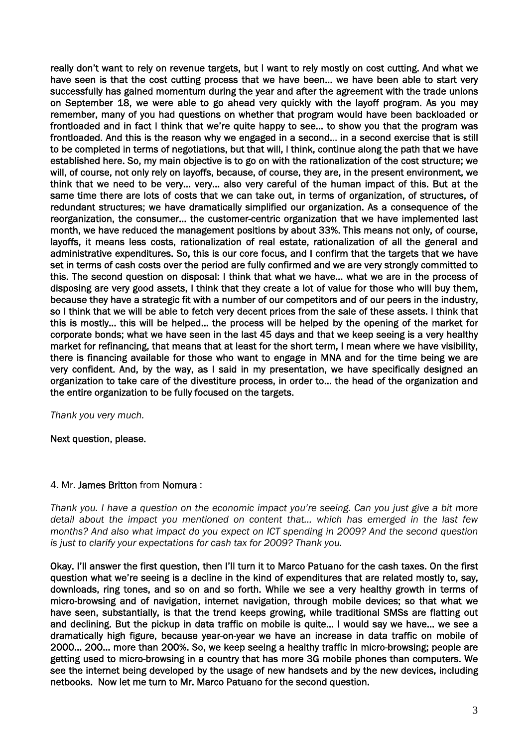really don't want to rely on revenue targets, but I want to rely mostly on cost cutting. And what we have seen is that the cost cutting process that we have been… we have been able to start very successfully has gained momentum during the year and after the agreement with the trade unions on September 18, we were able to go ahead very quickly with the layoff program. As you may remember, many of you had questions on whether that program would have been backloaded or frontloaded and in fact I think that we're quite happy to see… to show you that the program was frontloaded. And this is the reason why we engaged in a second… in a second exercise that is still to be completed in terms of negotiations, but that will, I think, continue along the path that we have established here. So, my main objective is to go on with the rationalization of the cost structure; we will, of course, not only rely on layoffs, because, of course, they are, in the present environment, we think that we need to be very… very… also very careful of the human impact of this. But at the same time there are lots of costs that we can take out, in terms of organization, of structures, of redundant structures; we have dramatically simplified our organization. As a consequence of the reorganization, the consumer… the customer-centric organization that we have implemented last month, we have reduced the management positions by about 33%. This means not only, of course, layoffs, it means less costs, rationalization of real estate, rationalization of all the general and administrative expenditures. So, this is our core focus, and I confirm that the targets that we have set in terms of cash costs over the period are fully confirmed and we are very strongly committed to this. The second question on disposal: I think that what we have… what we are in the process of disposing are very good assets, I think that they create a lot of value for those who will buy them, because they have a strategic fit with a number of our competitors and of our peers in the industry, so I think that we will be able to fetch very decent prices from the sale of these assets. I think that this is mostly… this will be helped… the process will be helped by the opening of the market for corporate bonds; what we have seen in the last 45 days and that we keep seeing is a very healthy market for refinancing, that means that at least for the short term, I mean where we have visibility, there is financing available for those who want to engage in MNA and for the time being we are very confident. And, by the way, as I said in my presentation, we have specifically designed an organization to take care of the divestiture process, in order to… the head of the organization and the entire organization to be fully focused on the targets.

*Thank you very much.* 

Next question, please.

# 4. Mr. James Britton from Nomura :

*Thank you. I have a question on the economic impact you're seeing. Can you just give a bit more detail about the impact you mentioned on content that… which has emerged in the last few months? And also what impact do you expect on ICT spending in 2009? And the second question is just to clarify your expectations for cash tax for 2009? Thank you.* 

Okay. I'll answer the first question, then I'll turn it to Marco Patuano for the cash taxes. On the first question what we're seeing is a decline in the kind of expenditures that are related mostly to, say, downloads, ring tones, and so on and so forth. While we see a very healthy growth in terms of micro-browsing and of navigation, internet navigation, through mobile devices; so that what we have seen, substantially, is that the trend keeps growing, while traditional SMSs are flatting out and declining. But the pickup in data traffic on mobile is quite… I would say we have… we see a dramatically high figure, because year-on-year we have an increase in data traffic on mobile of 2000… 200… more than 200%. So, we keep seeing a healthy traffic in micro-browsing; people are getting used to micro-browsing in a country that has more 3G mobile phones than computers. We see the internet being developed by the usage of new handsets and by the new devices, including netbooks. Now let me turn to Mr. Marco Patuano for the second question.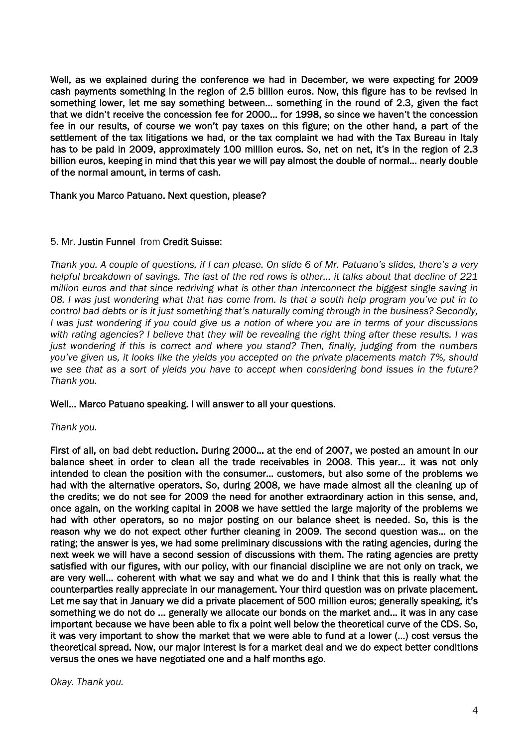Well, as we explained during the conference we had in December, we were expecting for 2009 cash payments something in the region of 2.5 billion euros. Now, this figure has to be revised in something lower, let me say something between… something in the round of 2.3, given the fact that we didn't receive the concession fee for 2000… for 1998, so since we haven't the concession fee in our results, of course we won't pay taxes on this figure; on the other hand, a part of the settlement of the tax litigations we had, or the tax complaint we had with the Tax Bureau in Italy has to be paid in 2009, approximately 100 million euros. So, net on net, it's in the region of 2.3 billion euros, keeping in mind that this year we will pay almost the double of normal… nearly double of the normal amount, in terms of cash.

Thank you Marco Patuano. Next question, please?

#### 5. Mr. Justin Funnel from Credit Suisse:

*Thank you. A couple of questions, if I can please. On slide 6 of Mr. Patuano's slides, there's a very helpful breakdown of savings. The last of the red rows is other… it talks about that decline of 221 million euros and that since redriving what is other than interconnect the biggest single saving in 08. I was just wondering what that has come from. Is that a south help program you've put in to control bad debts or is it just something that's naturally coming through in the business? Secondly, I was just wondering if you could give us a notion of where you are in terms of your discussions with rating agencies? I believe that they will be revealing the right thing after these results. I was just wondering if this is correct and where you stand? Then, finally, judging from the numbers you've given us, it looks like the yields you accepted on the private placements match 7%, should we see that as a sort of yields you have to accept when considering bond issues in the future? Thank you.* 

#### Well… Marco Patuano speaking. I will answer to all your questions.

#### *Thank you.*

First of all, on bad debt reduction. During 2000… at the end of 2007, we posted an amount in our balance sheet in order to clean all the trade receivables in 2008. This year… it was not only intended to clean the position with the consumer… customers, but also some of the problems we had with the alternative operators. So, during 2008, we have made almost all the cleaning up of the credits; we do not see for 2009 the need for another extraordinary action in this sense, and, once again, on the working capital in 2008 we have settled the large majority of the problems we had with other operators, so no major posting on our balance sheet is needed. So, this is the reason why we do not expect other further cleaning in 2009. The second question was… on the rating; the answer is yes, we had some preliminary discussions with the rating agencies, during the next week we will have a second session of discussions with them. The rating agencies are pretty satisfied with our figures, with our policy, with our financial discipline we are not only on track, we are very well… coherent with what we say and what we do and I think that this is really what the counterparties really appreciate in our management. Your third question was on private placement. Let me say that in January we did a private placement of 500 million euros; generally speaking, it's something we do not do … generally we allocate our bonds on the market and… it was in any case important because we have been able to fix a point well below the theoretical curve of the CDS. So, it was very important to show the market that we were able to fund at a lower (…) cost versus the theoretical spread. Now, our major interest is for a market deal and we do expect better conditions versus the ones we have negotiated one and a half months ago.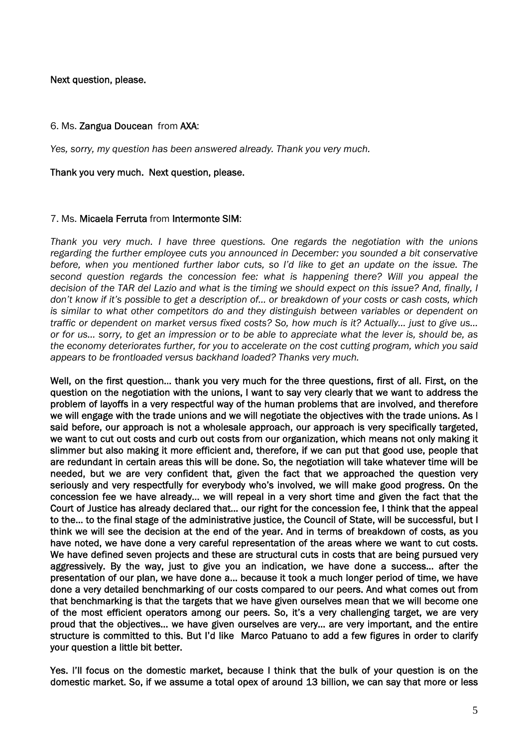Next question, please.

#### 6. Ms. Zangua Doucean from AXA:

*Yes, sorry, my question has been answered already. Thank you very much.* 

#### Thank you very much. Next question, please.

#### 7. Ms. Micaela Ferruta from Intermonte SIM:

*Thank you very much. I have three questions. One regards the negotiation with the unions regarding the further employee cuts you announced in December: you sounded a bit conservative before, when you mentioned further labor cuts, so I'd like to get an update on the issue. The second question regards the concession fee: what is happening there? Will you appeal the decision of the TAR del Lazio and what is the timing we should expect on this issue? And, finally, I don't know if it's possible to get a description of… or breakdown of your costs or cash costs, which is similar to what other competitors do and they distinguish between variables or dependent on traffic or dependent on market versus fixed costs? So, how much is it? Actually… just to give us… or for us… sorry, to get an impression or to be able to appreciate what the lever is, should be, as the economy deteriorates further, for you to accelerate on the cost cutting program, which you said appears to be frontloaded versus backhand loaded? Thanks very much.* 

Well, on the first question… thank you very much for the three questions, first of all. First, on the question on the negotiation with the unions, I want to say very clearly that we want to address the problem of layoffs in a very respectful way of the human problems that are involved, and therefore we will engage with the trade unions and we will negotiate the objectives with the trade unions. As I said before, our approach is not a wholesale approach, our approach is very specifically targeted, we want to cut out costs and curb out costs from our organization, which means not only making it slimmer but also making it more efficient and, therefore, if we can put that good use, people that are redundant in certain areas this will be done. So, the negotiation will take whatever time will be needed, but we are very confident that, given the fact that we approached the question very seriously and very respectfully for everybody who's involved, we will make good progress. On the concession fee we have already… we will repeal in a very short time and given the fact that the Court of Justice has already declared that… our right for the concession fee, I think that the appeal to the… to the final stage of the administrative justice, the Council of State, will be successful, but I think we will see the decision at the end of the year. And in terms of breakdown of costs, as you have noted, we have done a very careful representation of the areas where we want to cut costs. We have defined seven projects and these are structural cuts in costs that are being pursued very aggressively. By the way, just to give you an indication, we have done a success… after the presentation of our plan, we have done a… because it took a much longer period of time, we have done a very detailed benchmarking of our costs compared to our peers. And what comes out from that benchmarking is that the targets that we have given ourselves mean that we will become one of the most efficient operators among our peers. So, it's a very challenging target, we are very proud that the objectives… we have given ourselves are very… are very important, and the entire structure is committed to this. But I'd like Marco Patuano to add a few figures in order to clarify your question a little bit better.

Yes. I'll focus on the domestic market, because I think that the bulk of your question is on the domestic market. So, if we assume a total opex of around 13 billion, we can say that more or less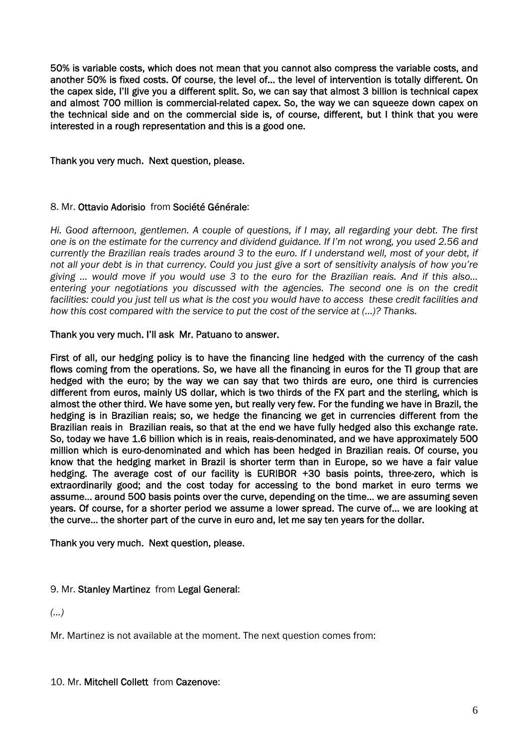50% is variable costs, which does not mean that you cannot also compress the variable costs, and another 50% is fixed costs. Of course, the level of… the level of intervention is totally different. On the capex side, I'll give you a different split. So, we can say that almost 3 billion is technical capex and almost 700 million is commercial-related capex. So, the way we can squeeze down capex on the technical side and on the commercial side is, of course, different, but I think that you were interested in a rough representation and this is a good one.

Thank you very much. Next question, please.

#### 8. Mr. Ottavio Adorisio from Société Générale:

*Hi. Good afternoon, gentlemen. A couple of questions, if I may, all regarding your debt. The first one is on the estimate for the currency and dividend guidance. If I'm not wrong, you used 2.56 and currently the Brazilian reais trades around 3 to the euro. If I understand well, most of your debt, if not all your debt is in that currency. Could you just give a sort of sensitivity analysis of how you're giving … would move if you would use 3 to the euro for the Brazilian reais. And if this also… entering your negotiations you discussed with the agencies. The second one is on the credit facilities: could you just tell us what is the cost you would have to access these credit facilities and how this cost compared with the service to put the cost of the service at (…)? Thanks.* 

#### Thank you very much. I'll ask Mr. Patuano to answer.

First of all, our hedging policy is to have the financing line hedged with the currency of the cash flows coming from the operations. So, we have all the financing in euros for the TI group that are hedged with the euro; by the way we can say that two thirds are euro, one third is currencies different from euros, mainly US dollar, which is two thirds of the FX part and the sterling, which is almost the other third. We have some yen, but really very few. For the funding we have in Brazil, the hedging is in Brazilian reais; so, we hedge the financing we get in currencies different from the Brazilian reais in Brazilian reais, so that at the end we have fully hedged also this exchange rate. So, today we have 1.6 billion which is in reais, reais-denominated, and we have approximately 500 million which is euro-denominated and which has been hedged in Brazilian reais. Of course, you know that the hedging market in Brazil is shorter term than in Europe, so we have a fair value hedging. The average cost of our facility is EURIBOR +30 basis points, three-zero, which is extraordinarily good; and the cost today for accessing to the bond market in euro terms we assume… around 500 basis points over the curve, depending on the time… we are assuming seven years. Of course, for a shorter period we assume a lower spread. The curve of… we are looking at the curve… the shorter part of the curve in euro and, let me say ten years for the dollar.

Thank you very much. Next question, please.

# 9. Mr. Stanley Martinez from Legal General:

*(…)* 

Mr. Martinez is not available at the moment. The next question comes from: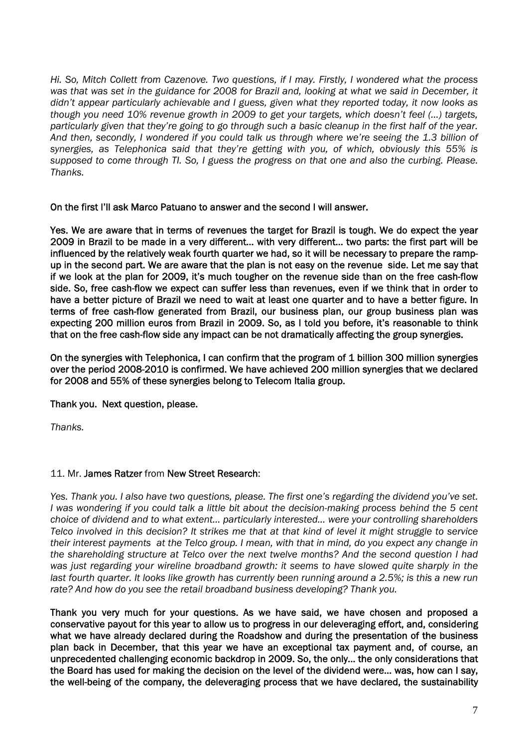*Hi. So, Mitch Collett from Cazenove. Two questions, if I may. Firstly, I wondered what the process was that was set in the guidance for 2008 for Brazil and, looking at what we said in December, it didn't appear particularly achievable and I guess, given what they reported today, it now looks as though you need 10% revenue growth in 2009 to get your targets, which doesn't feel (…) targets, particularly given that they're going to go through such a basic cleanup in the first half of the year. And then, secondly, I wondered if you could talk us through where we're seeing the 1.3 billion of synergies, as Telephonica said that they're getting with you, of which, obviously this 55% is supposed to come through TI. So, I guess the progress on that one and also the curbing. Please. Thanks.* 

On the first I'll ask Marco Patuano to answer and the second I will answer.

Yes. We are aware that in terms of revenues the target for Brazil is tough. We do expect the year 2009 in Brazil to be made in a very different… with very different… two parts: the first part will be influenced by the relatively weak fourth quarter we had, so it will be necessary to prepare the rampup in the second part. We are aware that the plan is not easy on the revenue side. Let me say that if we look at the plan for 2009, it's much tougher on the revenue side than on the free cash-flow side. So, free cash-flow we expect can suffer less than revenues, even if we think that in order to have a better picture of Brazil we need to wait at least one quarter and to have a better figure. In terms of free cash-flow generated from Brazil, our business plan, our group business plan was expecting 200 million euros from Brazil in 2009. So, as I told you before, it's reasonable to think that on the free cash-flow side any impact can be not dramatically affecting the group synergies.

On the synergies with Telephonica, I can confirm that the program of 1 billion 300 million synergies over the period 2008-2010 is confirmed. We have achieved 200 million synergies that we declared for 2008 and 55% of these synergies belong to Telecom Italia group.

Thank you. Next question, please.

*Thanks.* 

# 11. Mr. James Ratzer from New Street Research:

*Yes. Thank you. I also have two questions, please. The first one's regarding the dividend you've set. I was wondering if you could talk a little bit about the decision-making process behind the 5 cent choice of dividend and to what extent… particularly interested… were your controlling shareholders Telco involved in this decision? It strikes me that at that kind of level it might struggle to service their interest payments at the Telco group. I mean, with that in mind, do you expect any change in the shareholding structure at Telco over the next twelve months? And the second question I had was just regarding your wireline broadband growth: it seems to have slowed quite sharply in the last fourth quarter. It looks like growth has currently been running around a 2.5%; is this a new run rate? And how do you see the retail broadband business developing? Thank you.*

Thank you very much for your questions. As we have said, we have chosen and proposed a conservative payout for this year to allow us to progress in our deleveraging effort, and, considering what we have already declared during the Roadshow and during the presentation of the business plan back in December, that this year we have an exceptional tax payment and, of course, an unprecedented challenging economic backdrop in 2009. So, the only… the only considerations that the Board has used for making the decision on the level of the dividend were… was, how can I say, the well-being of the company, the deleveraging process that we have declared, the sustainability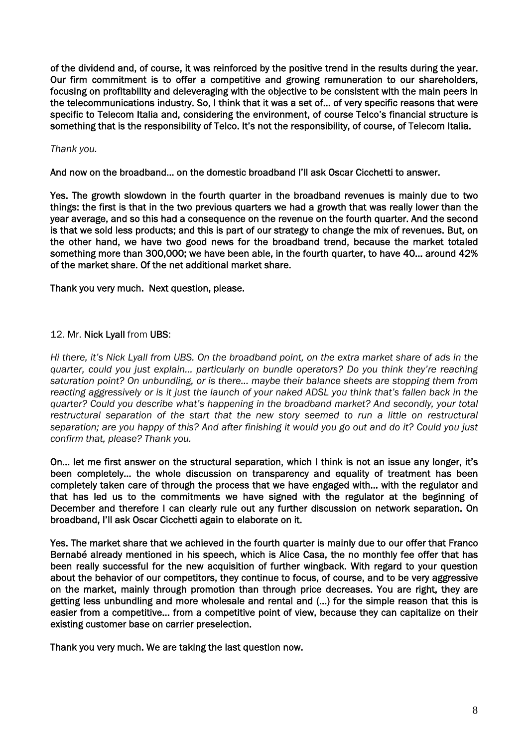of the dividend and, of course, it was reinforced by the positive trend in the results during the year. Our firm commitment is to offer a competitive and growing remuneration to our shareholders, focusing on profitability and deleveraging with the objective to be consistent with the main peers in the telecommunications industry. So, I think that it was a set of… of very specific reasons that were specific to Telecom Italia and, considering the environment, of course Telco's financial structure is something that is the responsibility of Telco. It's not the responsibility, of course, of Telecom Italia.

### *Thank you.*

And now on the broadband… on the domestic broadband I'll ask Oscar Cicchetti to answer.

Yes. The growth slowdown in the fourth quarter in the broadband revenues is mainly due to two things: the first is that in the two previous quarters we had a growth that was really lower than the year average, and so this had a consequence on the revenue on the fourth quarter. And the second is that we sold less products; and this is part of our strategy to change the mix of revenues. But, on the other hand, we have two good news for the broadband trend, because the market totaled something more than 300,000; we have been able, in the fourth quarter, to have 40… around 42% of the market share. Of the net additional market share.

Thank you very much. Next question, please.

# 12. Mr. Nick Lyall from UBS:

*Hi there, it's Nick Lyall from UBS. On the broadband point, on the extra market share of ads in the quarter, could you just explain… particularly on bundle operators? Do you think they're reaching saturation point? On unbundling, or is there… maybe their balance sheets are stopping them from reacting aggressively or is it just the launch of your naked ADSL you think that's fallen back in the quarter? Could you describe what's happening in the broadband market? And secondly, your total*  restructural separation of the start that the new story seemed to run a little on restructural *separation; are you happy of this? And after finishing it would you go out and do it? Could you just confirm that, please? Thank you.*

On… let me first answer on the structural separation, which I think is not an issue any longer, it's been completely… the whole discussion on transparency and equality of treatment has been completely taken care of through the process that we have engaged with… with the regulator and that has led us to the commitments we have signed with the regulator at the beginning of December and therefore I can clearly rule out any further discussion on network separation. On broadband, I'll ask Oscar Cicchetti again to elaborate on it.

Yes. The market share that we achieved in the fourth quarter is mainly due to our offer that Franco Bernabé already mentioned in his speech, which is Alice Casa, the no monthly fee offer that has been really successful for the new acquisition of further wingback. With regard to your question about the behavior of our competitors, they continue to focus, of course, and to be very aggressive on the market, mainly through promotion than through price decreases. You are right, they are getting less unbundling and more wholesale and rental and (…) for the simple reason that this is easier from a competitive… from a competitive point of view, because they can capitalize on their existing customer base on carrier preselection.

Thank you very much. We are taking the last question now.